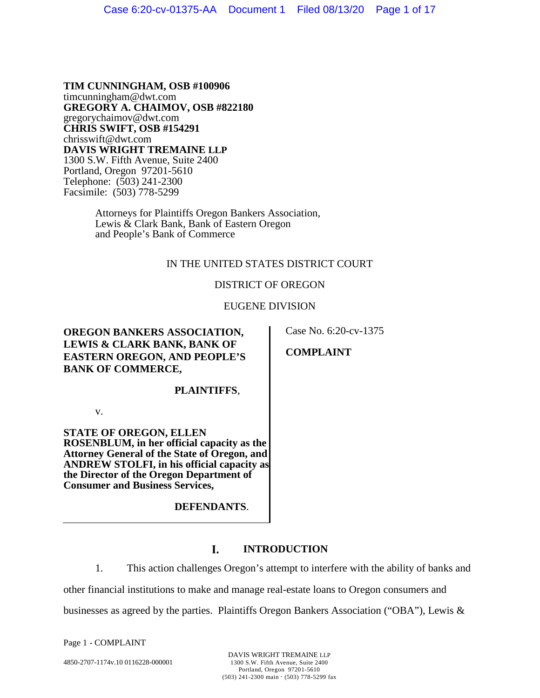**TIM CUNNINGHAM, OSB #100906**  timcunningham@dwt.com **GREGORY A. CHAIMOV, OSB #822180**  gregorychaimov@dwt.com **CHRIS SWIFT, OSB #154291**  chrisswift@dwt.com **DAVIS WRIGHT TREMAINE LLP** 1300 S.W. Fifth Avenue, Suite 2400 Portland, Oregon 97201-5610 Telephone: (503) 241-2300 Facsimile: (503) 778-5299

> Attorneys for Plaintiffs Oregon Bankers Association, Lewis & Clark Bank, Bank of Eastern Oregon and People's Bank of Commerce

## IN THE UNITED STATES DISTRICT COURT

## DISTRICT OF OREGON

## EUGENE DIVISION

**OREGON BANKERS ASSOCIATION, LEWIS & CLARK BANK, BANK OF EASTERN OREGON, AND PEOPLE'S BANK OF COMMERCE,** 

Case No. 6:20-cv-1375

**COMPLAINT** 

### **PLAINTIFFS**,

v.

**STATE OF OREGON, ELLEN ROSENBLUM, in her official capacity as the Attorney General of the State of Oregon, and ANDREW STOLFI, in his official capacity as the Director of the Oregon Department of Consumer and Business Services,** 

**DEFENDANTS**.

#### L **INTRODUCTION**

1. This action challenges Oregon's attempt to interfere with the ability of banks and other financial institutions to make and manage real-estate loans to Oregon consumers and businesses as agreed by the parties. Plaintiffs Oregon Bankers Association ("OBA"), Lewis &

Page 1 - COMPLAINT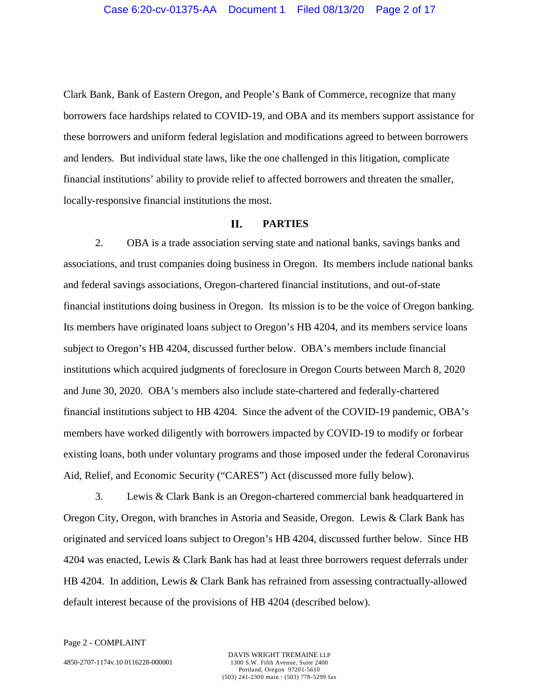Clark Bank, Bank of Eastern Oregon, and People's Bank of Commerce, recognize that many borrowers face hardships related to COVID-19, and OBA and its members support assistance for these borrowers and uniform federal legislation and modifications agreed to between borrowers and lenders. But individual state laws, like the one challenged in this litigation, complicate financial institutions' ability to provide relief to affected borrowers and threaten the smaller, locally-responsive financial institutions the most.

#### **II. PARTIES**

2. OBA is a trade association serving state and national banks, savings banks and associations, and trust companies doing business in Oregon. Its members include national banks and federal savings associations, Oregon-chartered financial institutions, and out-of-state financial institutions doing business in Oregon. Its mission is to be the voice of Oregon banking. Its members have originated loans subject to Oregon's HB 4204, and its members service loans subject to Oregon's HB 4204, discussed further below. OBA's members include financial institutions which acquired judgments of foreclosure in Oregon Courts between March 8, 2020 and June 30, 2020. OBA's members also include state-chartered and federally-chartered financial institutions subject to HB 4204. Since the advent of the COVID-19 pandemic, OBA's members have worked diligently with borrowers impacted by COVID-19 to modify or forbear existing loans, both under voluntary programs and those imposed under the federal Coronavirus Aid, Relief, and Economic Security ("CARES") Act (discussed more fully below).

3. Lewis & Clark Bank is an Oregon-chartered commercial bank headquartered in Oregon City, Oregon, with branches in Astoria and Seaside, Oregon. Lewis & Clark Bank has originated and serviced loans subject to Oregon's HB 4204, discussed further below. Since HB 4204 was enacted, Lewis & Clark Bank has had at least three borrowers request deferrals under HB 4204. In addition, Lewis & Clark Bank has refrained from assessing contractually-allowed default interest because of the provisions of HB 4204 (described below).

Page 2 - COMPLAINT

4850-2707-1174v.10 0116228-000001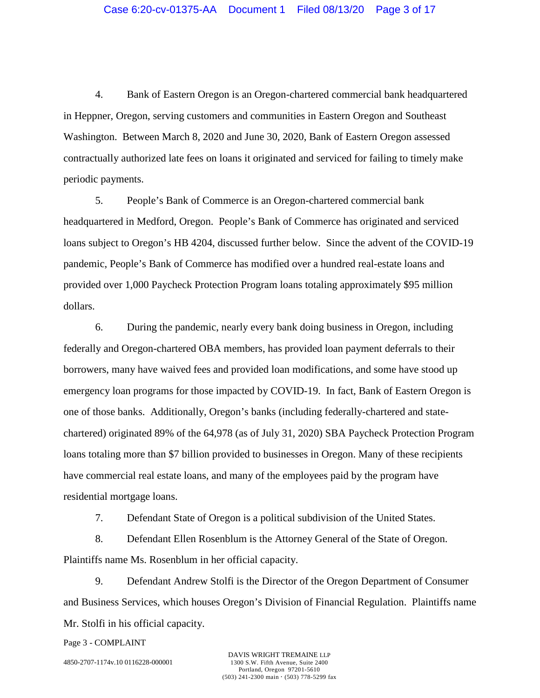4. Bank of Eastern Oregon is an Oregon-chartered commercial bank headquartered in Heppner, Oregon, serving customers and communities in Eastern Oregon and Southeast Washington. Between March 8, 2020 and June 30, 2020, Bank of Eastern Oregon assessed contractually authorized late fees on loans it originated and serviced for failing to timely make periodic payments.

5. People's Bank of Commerce is an Oregon-chartered commercial bank headquartered in Medford, Oregon. People's Bank of Commerce has originated and serviced loans subject to Oregon's HB 4204, discussed further below. Since the advent of the COVID-19 pandemic, People's Bank of Commerce has modified over a hundred real-estate loans and provided over 1,000 Paycheck Protection Program loans totaling approximately \$95 million dollars.

6. During the pandemic, nearly every bank doing business in Oregon, including federally and Oregon-chartered OBA members, has provided loan payment deferrals to their borrowers, many have waived fees and provided loan modifications, and some have stood up emergency loan programs for those impacted by COVID-19. In fact, Bank of Eastern Oregon is one of those banks. Additionally, Oregon's banks (including federally-chartered and statechartered) originated 89% of the 64,978 (as of July 31, 2020) SBA Paycheck Protection Program loans totaling more than \$7 billion provided to businesses in Oregon. Many of these recipients have commercial real estate loans, and many of the employees paid by the program have residential mortgage loans.

7. Defendant State of Oregon is a political subdivision of the United States.

8. Defendant Ellen Rosenblum is the Attorney General of the State of Oregon. Plaintiffs name Ms. Rosenblum in her official capacity.

9. Defendant Andrew Stolfi is the Director of the Oregon Department of Consumer and Business Services, which houses Oregon's Division of Financial Regulation. Plaintiffs name Mr. Stolfi in his official capacity.

Page 3 - COMPLAINT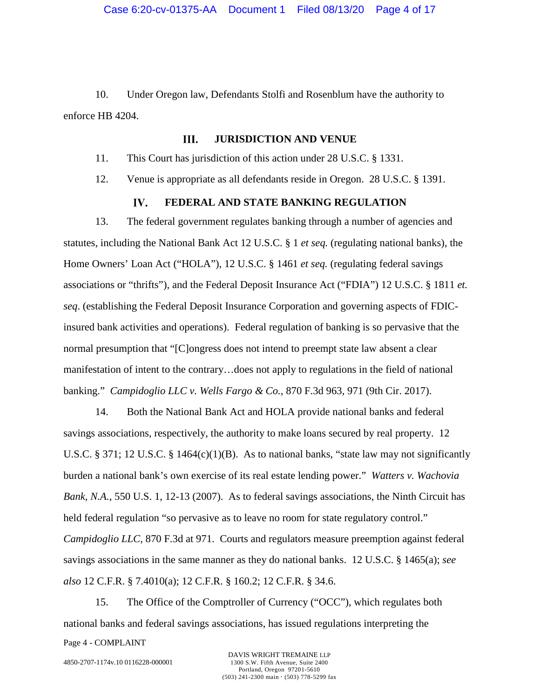10. Under Oregon law, Defendants Stolfi and Rosenblum have the authority to enforce HB 4204.

#### Ш. **JURISDICTION AND VENUE**

11. This Court has jurisdiction of this action under 28 U.S.C. § 1331.

12. Venue is appropriate as all defendants reside in Oregon. 28 U.S.C. § 1391.

#### $\mathbf{IV}$ . **FEDERAL AND STATE BANKING REGULATION**

13. The federal government regulates banking through a number of agencies and statutes, including the National Bank Act 12 U.S.C. § 1 *et seq.* (regulating national banks), the Home Owners' Loan Act ("HOLA"), 12 U.S.C. § 1461 *et seq.* (regulating federal savings associations or "thrifts"), and the Federal Deposit Insurance Act ("FDIA") 12 U.S.C. § 1811 *et. seq*. (establishing the Federal Deposit Insurance Corporation and governing aspects of FDICinsured bank activities and operations). Federal regulation of banking is so pervasive that the normal presumption that "[C]ongress does not intend to preempt state law absent a clear manifestation of intent to the contrary…does not apply to regulations in the field of national banking." *Campidoglio LLC v. Wells Fargo & Co.*, 870 F.3d 963, 971 (9th Cir. 2017).

14. Both the National Bank Act and HOLA provide national banks and federal savings associations, respectively, the authority to make loans secured by real property. 12 U.S.C. § 371; 12 U.S.C. § 1464(c)(1)(B). As to national banks, "state law may not significantly burden a national bank's own exercise of its real estate lending power." *Watters v. Wachovia Bank, N.A.*, 550 U.S. 1, 12-13 (2007). As to federal savings associations, the Ninth Circuit has held federal regulation "so pervasive as to leave no room for state regulatory control." *Campidoglio LLC*, 870 F.3d at 971. Courts and regulators measure preemption against federal savings associations in the same manner as they do national banks. 12 U.S.C. § 1465(a); *see also* 12 C.F.R. § 7.4010(a); 12 C.F.R. § 160.2; 12 C.F.R. § 34.6.

15. The Office of the Comptroller of Currency ("OCC"), which regulates both national banks and federal savings associations, has issued regulations interpreting the

Page 4 - COMPLAINT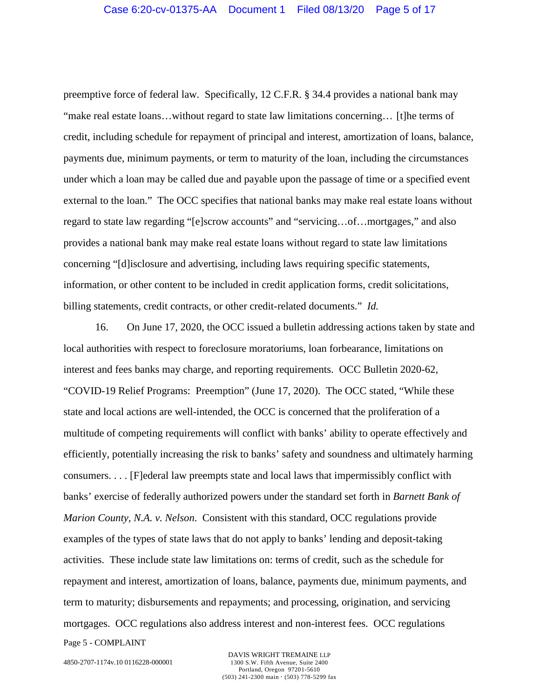preemptive force of federal law. Specifically, 12 C.F.R. § 34.4 provides a national bank may "make real estate loans…without regard to state law limitations concerning… [t]he terms of credit, including schedule for repayment of principal and interest, amortization of loans, balance, payments due, minimum payments, or term to maturity of the loan, including the circumstances under which a loan may be called due and payable upon the passage of time or a specified event external to the loan." The OCC specifies that national banks may make real estate loans without regard to state law regarding "[e]scrow accounts" and "servicing…of…mortgages," and also provides a national bank may make real estate loans without regard to state law limitations concerning "[d]isclosure and advertising, including laws requiring specific statements, information, or other content to be included in credit application forms, credit solicitations, billing statements, credit contracts, or other credit-related documents." *Id.* 

16. On June 17, 2020, the OCC issued a bulletin addressing actions taken by state and local authorities with respect to foreclosure moratoriums, loan forbearance, limitations on interest and fees banks may charge, and reporting requirements. OCC Bulletin 2020-62, "COVID-19 Relief Programs: Preemption" (June 17, 2020). The OCC stated, "While these state and local actions are well-intended, the OCC is concerned that the proliferation of a multitude of competing requirements will conflict with banks' ability to operate effectively and efficiently, potentially increasing the risk to banks' safety and soundness and ultimately harming consumers. . . . [F]ederal law preempts state and local laws that impermissibly conflict with banks' exercise of federally authorized powers under the standard set forth in *Barnett Bank of Marion County, N.A. v. Nelson.* Consistent with this standard, OCC regulations provide examples of the types of state laws that do not apply to banks' lending and deposit-taking activities. These include state law limitations on: terms of credit, such as the schedule for repayment and interest, amortization of loans, balance, payments due, minimum payments, and term to maturity; disbursements and repayments; and processing, origination, and servicing mortgages. OCC regulations also address interest and non-interest fees. OCC regulations

Page 5 - COMPLAINT

4850-2707-1174v.10 0116228-000001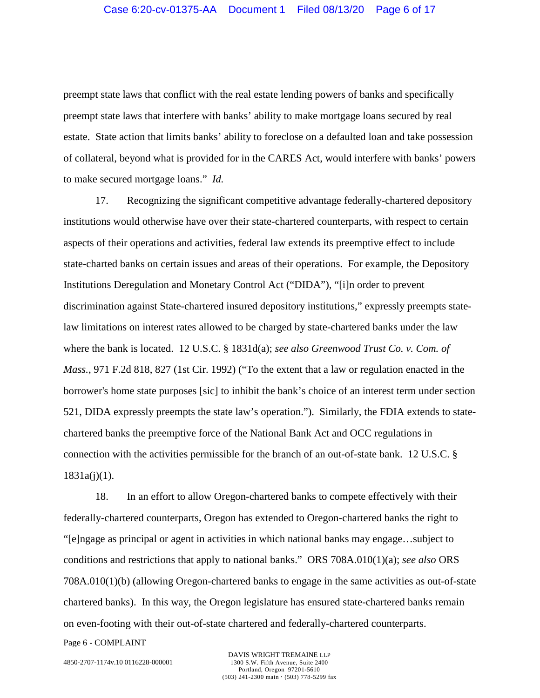preempt state laws that conflict with the real estate lending powers of banks and specifically preempt state laws that interfere with banks' ability to make mortgage loans secured by real estate. State action that limits banks' ability to foreclose on a defaulted loan and take possession of collateral, beyond what is provided for in the CARES Act, would interfere with banks' powers to make secured mortgage loans." *Id.*

17. Recognizing the significant competitive advantage federally-chartered depository institutions would otherwise have over their state-chartered counterparts, with respect to certain aspects of their operations and activities, federal law extends its preemptive effect to include state-charted banks on certain issues and areas of their operations. For example, the Depository Institutions Deregulation and Monetary Control Act ("DIDA"), "[i]n order to prevent discrimination against State-chartered insured depository institutions," expressly preempts statelaw limitations on interest rates allowed to be charged by state-chartered banks under the law where the bank is located. 12 U.S.C. § 1831d(a); *see also Greenwood Trust Co. v. Com. of Mass.*, 971 F.2d 818, 827 (1st Cir. 1992) ("To the extent that a law or regulation enacted in the borrower's home state purposes [sic] to inhibit the bank's choice of an interest term under section 521, DIDA expressly preempts the state law's operation."). Similarly, the FDIA extends to statechartered banks the preemptive force of the National Bank Act and OCC regulations in connection with the activities permissible for the branch of an out-of-state bank. 12 U.S.C. § 1831a(j)(1).

18. In an effort to allow Oregon-chartered banks to compete effectively with their federally-chartered counterparts, Oregon has extended to Oregon-chartered banks the right to "[e]ngage as principal or agent in activities in which national banks may engage…subject to conditions and restrictions that apply to national banks." ORS 708A.010(1)(a); *see also* ORS 708A.010(1)(b) (allowing Oregon-chartered banks to engage in the same activities as out-of-state chartered banks). In this way, the Oregon legislature has ensured state-chartered banks remain on even-footing with their out-of-state chartered and federally-chartered counterparts.

Page 6 - COMPLAINT

4850-2707-1174v.10 0116228-000001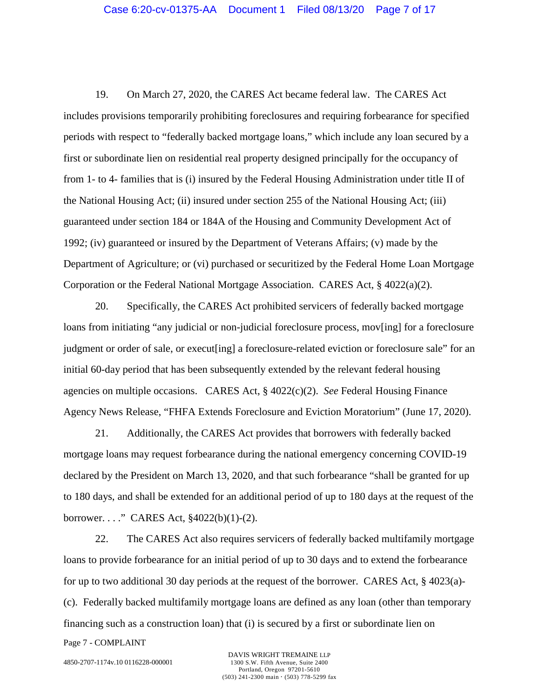19. On March 27, 2020, the CARES Act became federal law. The CARES Act includes provisions temporarily prohibiting foreclosures and requiring forbearance for specified periods with respect to "federally backed mortgage loans," which include any loan secured by a first or subordinate lien on residential real property designed principally for the occupancy of from 1- to 4- families that is (i) insured by the Federal Housing Administration under title II of the National Housing Act; (ii) insured under section 255 of the National Housing Act; (iii) guaranteed under section 184 or 184A of the Housing and Community Development Act of 1992; (iv) guaranteed or insured by the Department of Veterans Affairs; (v) made by the Department of Agriculture; or (vi) purchased or securitized by the Federal Home Loan Mortgage Corporation or the Federal National Mortgage Association. CARES Act, § 4022(a)(2).

20. Specifically, the CARES Act prohibited servicers of federally backed mortgage loans from initiating "any judicial or non-judicial foreclosure process, mov[ing] for a foreclosure judgment or order of sale, or execut[ing] a foreclosure-related eviction or foreclosure sale" for an initial 60-day period that has been subsequently extended by the relevant federal housing agencies on multiple occasions. CARES Act, § 4022(c)(2). *See* Federal Housing Finance Agency News Release, "FHFA Extends Foreclosure and Eviction Moratorium" (June 17, 2020).

21. Additionally, the CARES Act provides that borrowers with federally backed mortgage loans may request forbearance during the national emergency concerning COVID-19 declared by the President on March 13, 2020, and that such forbearance "shall be granted for up to 180 days, and shall be extended for an additional period of up to 180 days at the request of the borrower. . . ." CARES Act, §4022(b)(1)-(2).

22. The CARES Act also requires servicers of federally backed multifamily mortgage loans to provide forbearance for an initial period of up to 30 days and to extend the forbearance for up to two additional 30 day periods at the request of the borrower. CARES Act, § 4023(a)- (c). Federally backed multifamily mortgage loans are defined as any loan (other than temporary financing such as a construction loan) that (i) is secured by a first or subordinate lien on

Page 7 - COMPLAINT

4850-2707-1174v.10 0116228-000001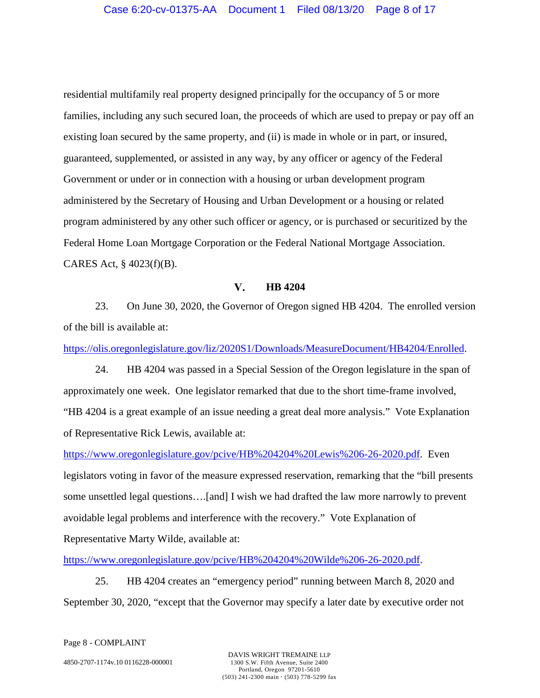residential multifamily real property designed principally for the occupancy of 5 or more families, including any such secured loan, the proceeds of which are used to prepay or pay off an existing loan secured by the same property, and (ii) is made in whole or in part, or insured, guaranteed, supplemented, or assisted in any way, by any officer or agency of the Federal Government or under or in connection with a housing or urban development program administered by the Secretary of Housing and Urban Development or a housing or related program administered by any other such officer or agency, or is purchased or securitized by the Federal Home Loan Mortgage Corporation or the Federal National Mortgage Association. CARES Act, § 4023(f)(B).

#### $V_{\bullet}$ **HB 4204**

23. On June 30, 2020, the Governor of Oregon signed HB 4204. The enrolled version of the bill is available at:

[https://olis.oregonlegislature.gov/liz/2020S1/Downloads/MeasureDocument/HB4204/Enrolled.](https://olis.oregonlegislature.gov/liz/2020S1/Downloads/MeasureDocument/HB4204/Enrolled)

24. HB 4204 was passed in a Special Session of the Oregon legislature in the span of approximately one week. One legislator remarked that due to the short time-frame involved, "HB 4204 is a great example of an issue needing a great deal more analysis." Vote Explanation of Representative Rick Lewis, available at:

<https://www.oregonlegislature.gov/pcive/HB%204204%20Lewis%206-26-2020.pdf>. Even legislators voting in favor of the measure expressed reservation, remarking that the "bill presents some unsettled legal questions….[and] I wish we had drafted the law more narrowly to prevent avoidable legal problems and interference with the recovery." Vote Explanation of Representative Marty Wilde, available at:

<https://www.oregonlegislature.gov/pcive/HB%204204%20Wilde%206-26-2020.pdf>.

25. HB 4204 creates an "emergency period" running between March 8, 2020 and September 30, 2020, "except that the Governor may specify a later date by executive order not

Page 8 - COMPLAINT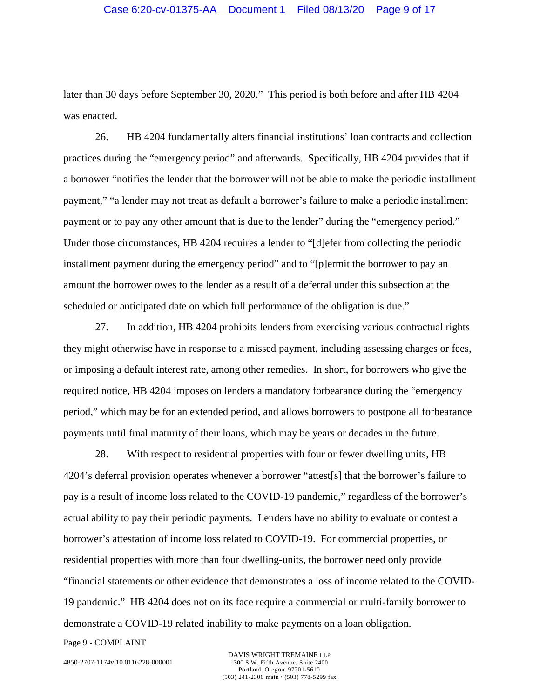later than 30 days before September 30, 2020." This period is both before and after HB 4204 was enacted.

26. HB 4204 fundamentally alters financial institutions' loan contracts and collection practices during the "emergency period" and afterwards. Specifically, HB 4204 provides that if a borrower "notifies the lender that the borrower will not be able to make the periodic installment payment," "a lender may not treat as default a borrower's failure to make a periodic installment payment or to pay any other amount that is due to the lender" during the "emergency period." Under those circumstances, HB 4204 requires a lender to "[d]efer from collecting the periodic installment payment during the emergency period" and to "[p]ermit the borrower to pay an amount the borrower owes to the lender as a result of a deferral under this subsection at the scheduled or anticipated date on which full performance of the obligation is due."

27. In addition, HB 4204 prohibits lenders from exercising various contractual rights they might otherwise have in response to a missed payment, including assessing charges or fees, or imposing a default interest rate, among other remedies. In short, for borrowers who give the required notice, HB 4204 imposes on lenders a mandatory forbearance during the "emergency period," which may be for an extended period, and allows borrowers to postpone all forbearance payments until final maturity of their loans, which may be years or decades in the future.

28. With respect to residential properties with four or fewer dwelling units, HB 4204's deferral provision operates whenever a borrower "attest[s] that the borrower's failure to pay is a result of income loss related to the COVID-19 pandemic," regardless of the borrower's actual ability to pay their periodic payments. Lenders have no ability to evaluate or contest a borrower's attestation of income loss related to COVID-19. For commercial properties, or residential properties with more than four dwelling-units, the borrower need only provide "financial statements or other evidence that demonstrates a loss of income related to the COVID-19 pandemic." HB 4204 does not on its face require a commercial or multi-family borrower to demonstrate a COVID-19 related inability to make payments on a loan obligation.

Page 9 - COMPLAINT

4850-2707-1174v.10 0116228-000001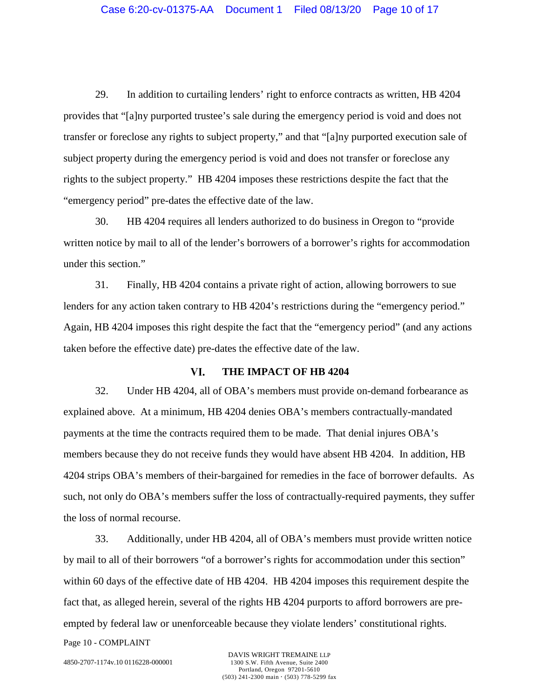29. In addition to curtailing lenders' right to enforce contracts as written, HB 4204 provides that "[a]ny purported trustee's sale during the emergency period is void and does not transfer or foreclose any rights to subject property," and that "[a]ny purported execution sale of subject property during the emergency period is void and does not transfer or foreclose any rights to the subject property." HB 4204 imposes these restrictions despite the fact that the "emergency period" pre-dates the effective date of the law.

30. HB 4204 requires all lenders authorized to do business in Oregon to "provide written notice by mail to all of the lender's borrowers of a borrower's rights for accommodation under this section."

31. Finally, HB 4204 contains a private right of action, allowing borrowers to sue lenders for any action taken contrary to HB 4204's restrictions during the "emergency period." Again, HB 4204 imposes this right despite the fact that the "emergency period" (and any actions taken before the effective date) pre-dates the effective date of the law.

#### VI. **THE IMPACT OF HB 4204**

32. Under HB 4204, all of OBA's members must provide on-demand forbearance as explained above. At a minimum, HB 4204 denies OBA's members contractually-mandated payments at the time the contracts required them to be made. That denial injures OBA's members because they do not receive funds they would have absent HB 4204. In addition, HB 4204 strips OBA's members of their-bargained for remedies in the face of borrower defaults. As such, not only do OBA's members suffer the loss of contractually-required payments, they suffer the loss of normal recourse.

33. Additionally, under HB 4204, all of OBA's members must provide written notice by mail to all of their borrowers "of a borrower's rights for accommodation under this section" within 60 days of the effective date of HB 4204. HB 4204 imposes this requirement despite the fact that, as alleged herein, several of the rights HB 4204 purports to afford borrowers are preempted by federal law or unenforceable because they violate lenders' constitutional rights.

Page 10 - COMPLAINT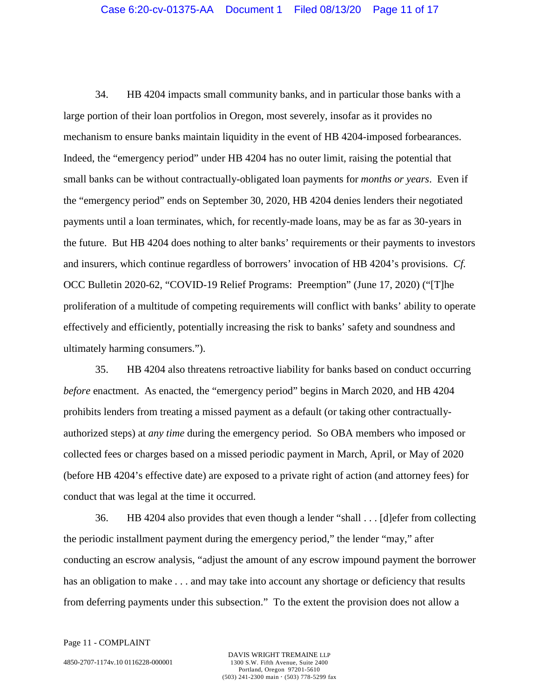34. HB 4204 impacts small community banks, and in particular those banks with a large portion of their loan portfolios in Oregon, most severely, insofar as it provides no mechanism to ensure banks maintain liquidity in the event of HB 4204-imposed forbearances. Indeed, the "emergency period" under HB 4204 has no outer limit, raising the potential that small banks can be without contractually-obligated loan payments for *months or years*. Even if the "emergency period" ends on September 30, 2020, HB 4204 denies lenders their negotiated payments until a loan terminates, which, for recently-made loans, may be as far as 30-years in the future. But HB 4204 does nothing to alter banks' requirements or their payments to investors and insurers, which continue regardless of borrowers' invocation of HB 4204's provisions. *Cf.*  OCC Bulletin 2020-62, "COVID-19 Relief Programs: Preemption" (June 17, 2020) ("[T]he proliferation of a multitude of competing requirements will conflict with banks' ability to operate effectively and efficiently, potentially increasing the risk to banks' safety and soundness and ultimately harming consumers.").

35. HB 4204 also threatens retroactive liability for banks based on conduct occurring *before* enactment. As enacted, the "emergency period" begins in March 2020, and HB 4204 prohibits lenders from treating a missed payment as a default (or taking other contractuallyauthorized steps) at *any time* during the emergency period. So OBA members who imposed or collected fees or charges based on a missed periodic payment in March, April, or May of 2020 (before HB 4204's effective date) are exposed to a private right of action (and attorney fees) for conduct that was legal at the time it occurred.

36. HB 4204 also provides that even though a lender "shall . . . [d]efer from collecting the periodic installment payment during the emergency period," the lender "may," after conducting an escrow analysis, "adjust the amount of any escrow impound payment the borrower has an obligation to make . . . and may take into account any shortage or deficiency that results from deferring payments under this subsection." To the extent the provision does not allow a

Page 11 - COMPLAINT

4850-2707-1174v.10 0116228-000001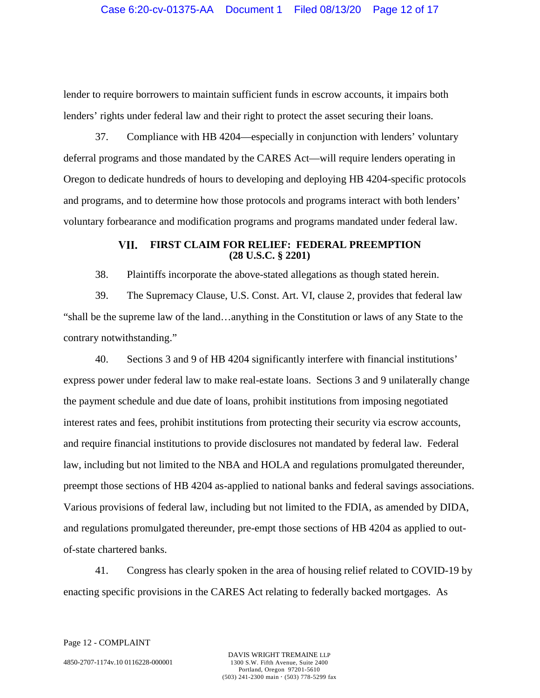lender to require borrowers to maintain sufficient funds in escrow accounts, it impairs both lenders' rights under federal law and their right to protect the asset securing their loans.

37. Compliance with HB 4204—especially in conjunction with lenders' voluntary deferral programs and those mandated by the CARES Act—will require lenders operating in Oregon to dedicate hundreds of hours to developing and deploying HB 4204-specific protocols and programs, and to determine how those protocols and programs interact with both lenders' voluntary forbearance and modification programs and programs mandated under federal law.

### VII. **FIRST CLAIM FOR RELIEF: FEDERAL PREEMPTION (28 U.S.C. § 2201)**

38. Plaintiffs incorporate the above-stated allegations as though stated herein.

39. The Supremacy Clause, U.S. Const. Art. VI, clause 2, provides that federal law "shall be the supreme law of the land…anything in the Constitution or laws of any State to the contrary notwithstanding."

40. Sections 3 and 9 of HB 4204 significantly interfere with financial institutions' express power under federal law to make real-estate loans. Sections 3 and 9 unilaterally change the payment schedule and due date of loans, prohibit institutions from imposing negotiated interest rates and fees, prohibit institutions from protecting their security via escrow accounts, and require financial institutions to provide disclosures not mandated by federal law. Federal law, including but not limited to the NBA and HOLA and regulations promulgated thereunder, preempt those sections of HB 4204 as-applied to national banks and federal savings associations. Various provisions of federal law, including but not limited to the FDIA, as amended by DIDA, and regulations promulgated thereunder, pre-empt those sections of HB 4204 as applied to outof-state chartered banks.

41. Congress has clearly spoken in the area of housing relief related to COVID-19 by enacting specific provisions in the CARES Act relating to federally backed mortgages. As

Page 12 - COMPLAINT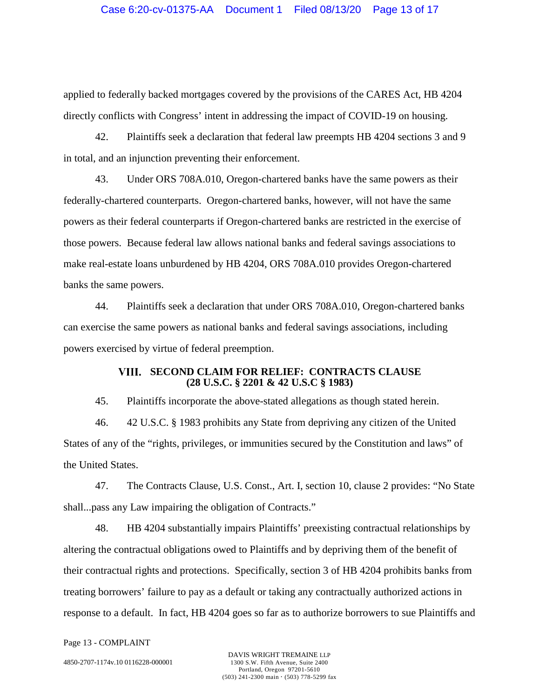applied to federally backed mortgages covered by the provisions of the CARES Act, HB 4204 directly conflicts with Congress' intent in addressing the impact of COVID-19 on housing.

42. Plaintiffs seek a declaration that federal law preempts HB 4204 sections 3 and 9 in total, and an injunction preventing their enforcement.

43. Under ORS 708A.010, Oregon-chartered banks have the same powers as their federally-chartered counterparts. Oregon-chartered banks, however, will not have the same powers as their federal counterparts if Oregon-chartered banks are restricted in the exercise of those powers. Because federal law allows national banks and federal savings associations to make real-estate loans unburdened by HB 4204, ORS 708A.010 provides Oregon-chartered banks the same powers.

44. Plaintiffs seek a declaration that under ORS 708A.010, Oregon-chartered banks can exercise the same powers as national banks and federal savings associations, including powers exercised by virtue of federal preemption.

### **SECOND CLAIM FOR RELIEF: CONTRACTS CLAUSE (28 U.S.C. § 2201 & 42 U.S.C § 1983)**

45. Plaintiffs incorporate the above-stated allegations as though stated herein.

46. 42 U.S.C. § 1983 prohibits any State from depriving any citizen of the United States of any of the "rights, privileges, or immunities secured by the Constitution and laws" of the United States.

47. The Contracts Clause, U.S. Const., Art. I, section 10, clause 2 provides: "No State shall...pass any Law impairing the obligation of Contracts."

48. HB 4204 substantially impairs Plaintiffs' preexisting contractual relationships by altering the contractual obligations owed to Plaintiffs and by depriving them of the benefit of their contractual rights and protections. Specifically, section 3 of HB 4204 prohibits banks from treating borrowers' failure to pay as a default or taking any contractually authorized actions in response to a default. In fact, HB 4204 goes so far as to authorize borrowers to sue Plaintiffs and

Page 13 - COMPLAINT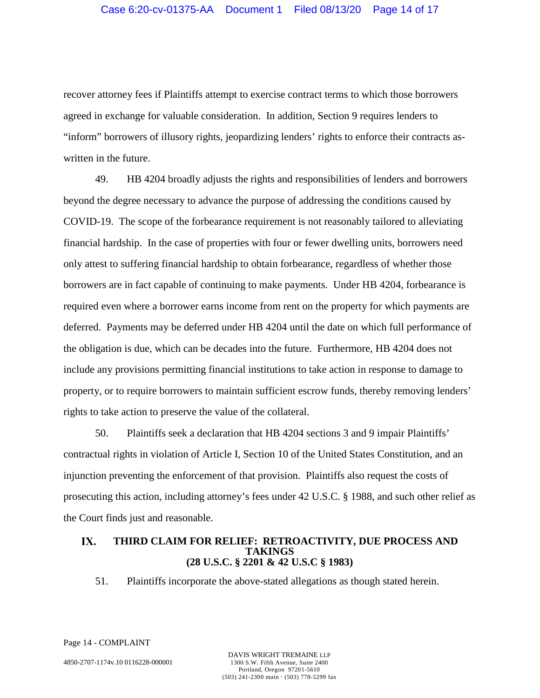recover attorney fees if Plaintiffs attempt to exercise contract terms to which those borrowers agreed in exchange for valuable consideration. In addition, Section 9 requires lenders to "inform" borrowers of illusory rights, jeopardizing lenders' rights to enforce their contracts aswritten in the future.

49. HB 4204 broadly adjusts the rights and responsibilities of lenders and borrowers beyond the degree necessary to advance the purpose of addressing the conditions caused by COVID-19. The scope of the forbearance requirement is not reasonably tailored to alleviating financial hardship. In the case of properties with four or fewer dwelling units, borrowers need only attest to suffering financial hardship to obtain forbearance, regardless of whether those borrowers are in fact capable of continuing to make payments. Under HB 4204, forbearance is required even where a borrower earns income from rent on the property for which payments are deferred. Payments may be deferred under HB 4204 until the date on which full performance of the obligation is due, which can be decades into the future. Furthermore, HB 4204 does not include any provisions permitting financial institutions to take action in response to damage to property, or to require borrowers to maintain sufficient escrow funds, thereby removing lenders' rights to take action to preserve the value of the collateral.

50. Plaintiffs seek a declaration that HB 4204 sections 3 and 9 impair Plaintiffs' contractual rights in violation of Article I, Section 10 of the United States Constitution, and an injunction preventing the enforcement of that provision. Plaintiffs also request the costs of prosecuting this action, including attorney's fees under 42 U.S.C. § 1988, and such other relief as the Court finds just and reasonable.

### IX. **THIRD CLAIM FOR RELIEF: RETROACTIVITY, DUE PROCESS AND TAKINGS (28 U.S.C. § 2201 & 42 U.S.C § 1983)**

51. Plaintiffs incorporate the above-stated allegations as though stated herein.

Page 14 - COMPLAINT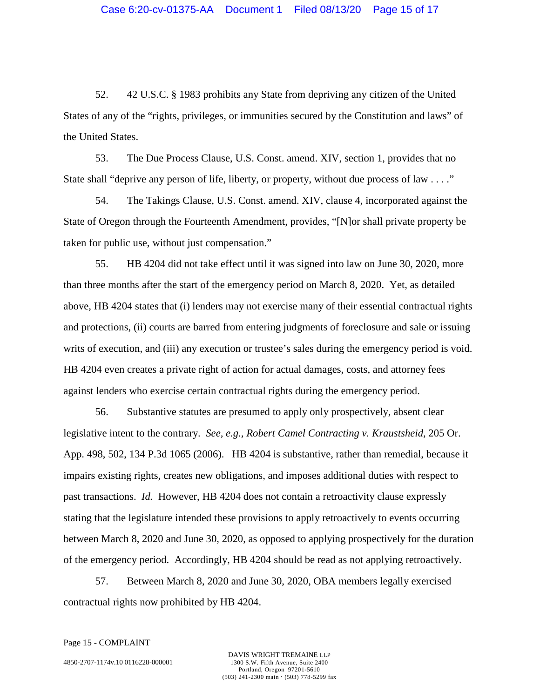52. 42 U.S.C. § 1983 prohibits any State from depriving any citizen of the United States of any of the "rights, privileges, or immunities secured by the Constitution and laws" of the United States.

53. The Due Process Clause, U.S. Const. amend. XIV, section 1, provides that no State shall "deprive any person of life, liberty, or property, without due process of law . . . ."

54. The Takings Clause, U.S. Const. amend. XIV, clause 4, incorporated against the State of Oregon through the Fourteenth Amendment, provides, "[N]or shall private property be taken for public use, without just compensation."

55. HB 4204 did not take effect until it was signed into law on June 30, 2020, more than three months after the start of the emergency period on March 8, 2020. Yet, as detailed above, HB 4204 states that (i) lenders may not exercise many of their essential contractual rights and protections, (ii) courts are barred from entering judgments of foreclosure and sale or issuing writs of execution, and (iii) any execution or trustee's sales during the emergency period is void. HB 4204 even creates a private right of action for actual damages, costs, and attorney fees against lenders who exercise certain contractual rights during the emergency period.

56. Substantive statutes are presumed to apply only prospectively, absent clear legislative intent to the contrary. *See, e.g., Robert Camel Contracting v. Kraustsheid*, 205 Or. App. 498, 502, 134 P.3d 1065 (2006). HB 4204 is substantive, rather than remedial, because it impairs existing rights, creates new obligations, and imposes additional duties with respect to past transactions. *Id.* However, HB 4204 does not contain a retroactivity clause expressly stating that the legislature intended these provisions to apply retroactively to events occurring between March 8, 2020 and June 30, 2020, as opposed to applying prospectively for the duration of the emergency period. Accordingly, HB 4204 should be read as not applying retroactively.

57. Between March 8, 2020 and June 30, 2020, OBA members legally exercised contractual rights now prohibited by HB 4204.

Page 15 - COMPLAINT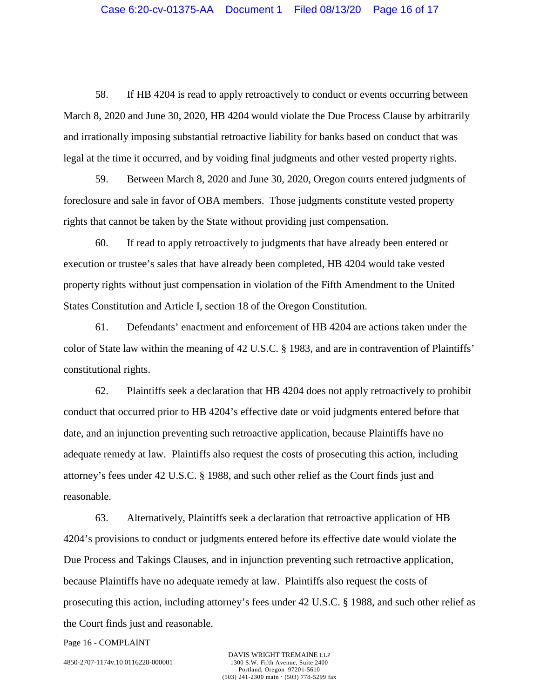58. If HB 4204 is read to apply retroactively to conduct or events occurring between March 8, 2020 and June 30, 2020, HB 4204 would violate the Due Process Clause by arbitrarily and irrationally imposing substantial retroactive liability for banks based on conduct that was legal at the time it occurred, and by voiding final judgments and other vested property rights.

59. Between March 8, 2020 and June 30, 2020, Oregon courts entered judgments of foreclosure and sale in favor of OBA members. Those judgments constitute vested property rights that cannot be taken by the State without providing just compensation.

60. If read to apply retroactively to judgments that have already been entered or execution or trustee's sales that have already been completed, HB 4204 would take vested property rights without just compensation in violation of the Fifth Amendment to the United States Constitution and Article I, section 18 of the Oregon Constitution.

61. Defendants' enactment and enforcement of HB 4204 are actions taken under the color of State law within the meaning of 42 U.S.C. § 1983, and are in contravention of Plaintiffs' constitutional rights.

62. Plaintiffs seek a declaration that HB 4204 does not apply retroactively to prohibit conduct that occurred prior to HB 4204's effective date or void judgments entered before that date, and an injunction preventing such retroactive application, because Plaintiffs have no adequate remedy at law. Plaintiffs also request the costs of prosecuting this action, including attorney's fees under 42 U.S.C. § 1988, and such other relief as the Court finds just and reasonable.

63. Alternatively, Plaintiffs seek a declaration that retroactive application of HB 4204's provisions to conduct or judgments entered before its effective date would violate the Due Process and Takings Clauses, and in injunction preventing such retroactive application, because Plaintiffs have no adequate remedy at law. Plaintiffs also request the costs of prosecuting this action, including attorney's fees under 42 U.S.C. § 1988, and such other relief as the Court finds just and reasonable.

Page 16 - COMPLAINT

4850-2707-1174v.10 0116228-000001